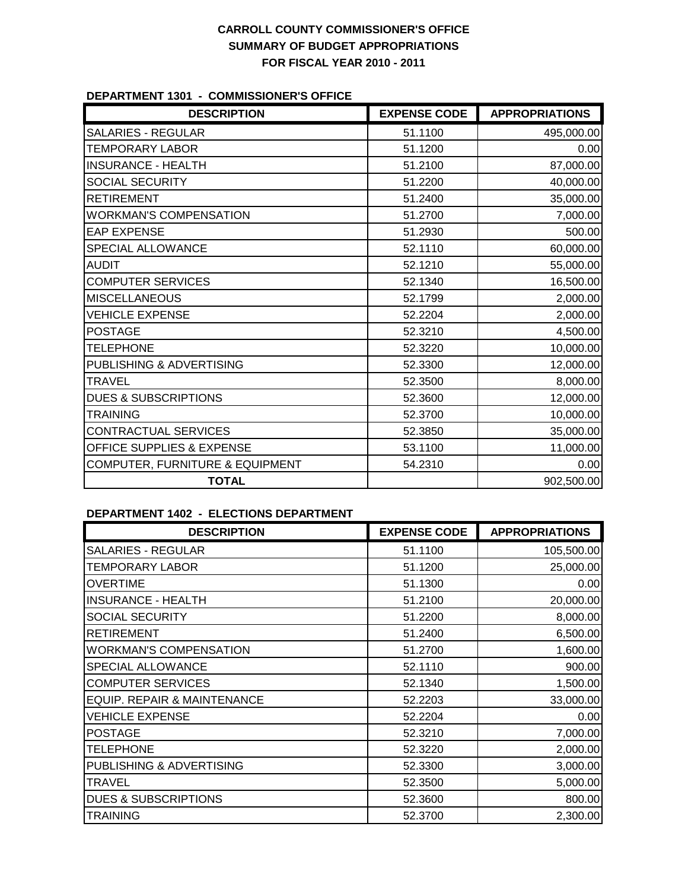## **CARROLL COUNTY COMMISSIONER'S OFFICE SUMMARY OF BUDGET APPROPRIATIONS FOR FISCAL YEAR 2010 - 2011**

#### **DEPARTMENT 1301 - COMMISSIONER'S OFFICE**

| <b>DESCRIPTION</b>              | <b>EXPENSE CODE</b> | <b>APPROPRIATIONS</b> |
|---------------------------------|---------------------|-----------------------|
| <b>SALARIES - REGULAR</b>       | 51.1100             | 495,000.00            |
| <b>TEMPORARY LABOR</b>          | 51.1200             | 0.00                  |
| <b>INSURANCE - HEALTH</b>       | 51.2100             | 87,000.00             |
| SOCIAL SECURITY                 | 51.2200             | 40,000.00             |
| <b>RETIREMENT</b>               | 51.2400             | 35,000.00             |
| <b>WORKMAN'S COMPENSATION</b>   | 51.2700             | 7,000.00              |
| <b>EAP EXPENSE</b>              | 51.2930             | 500.00                |
| SPECIAL ALLOWANCE               | 52.1110             | 60,000.00             |
| <b>AUDIT</b>                    | 52.1210             | 55,000.00             |
| <b>COMPUTER SERVICES</b>        | 52.1340             | 16,500.00             |
| <b>MISCELLANEOUS</b>            | 52.1799             | 2,000.00              |
| <b>VEHICLE EXPENSE</b>          | 52.2204             | 2,000.00              |
| <b>POSTAGE</b>                  | 52.3210             | 4,500.00              |
| <b>TELEPHONE</b>                | 52.3220             | 10,000.00             |
| PUBLISHING & ADVERTISING        | 52.3300             | 12,000.00             |
| <b>TRAVEL</b>                   | 52.3500             | 8,000.00              |
| <b>DUES &amp; SUBSCRIPTIONS</b> | 52.3600             | 12,000.00             |
| <b>TRAINING</b>                 | 52.3700             | 10,000.00             |
| CONTRACTUAL SERVICES            | 52.3850             | 35,000.00             |
| OFFICE SUPPLIES & EXPENSE       | 53.1100             | 11,000.00             |
| COMPUTER, FURNITURE & EQUIPMENT | 54.2310             | 0.00                  |
| <b>TOTAL</b>                    |                     | 902,500.00            |

## **DEPARTMENT 1402 - ELECTIONS DEPARTMENT**

| <b>DESCRIPTION</b>              | <b>EXPENSE CODE</b> | <b>APPROPRIATIONS</b> |
|---------------------------------|---------------------|-----------------------|
| <b>SALARIES - REGULAR</b>       | 51.1100             | 105,500.00            |
| <b>TEMPORARY LABOR</b>          | 51.1200             | 25,000.00             |
| <b>OVERTIME</b>                 | 51.1300             | 0.00                  |
| <b>INSURANCE - HEALTH</b>       | 51.2100             | 20,000.00             |
| <b>SOCIAL SECURITY</b>          | 51.2200             | 8,000.00              |
| <b>RETIREMENT</b>               | 51.2400             | 6,500.00              |
| <b>WORKMAN'S COMPENSATION</b>   | 51.2700             | 1,600.00              |
| <b>SPECIAL ALLOWANCE</b>        | 52.1110             | 900.00                |
| <b>COMPUTER SERVICES</b>        | 52.1340             | 1,500.00              |
| EQUIP. REPAIR & MAINTENANCE     | 52.2203             | 33,000.00             |
| <b>VEHICLE EXPENSE</b>          | 52.2204             | 0.00                  |
| <b>POSTAGE</b>                  | 52.3210             | 7,000.00              |
| <b>TELEPHONE</b>                | 52.3220             | 2,000.00              |
| PUBLISHING & ADVERTISING        | 52.3300             | 3,000.00              |
| <b>TRAVEL</b>                   | 52.3500             | 5,000.00              |
| <b>DUES &amp; SUBSCRIPTIONS</b> | 52.3600             | 800.00                |
| <b>TRAINING</b>                 | 52.3700             | 2,300.00              |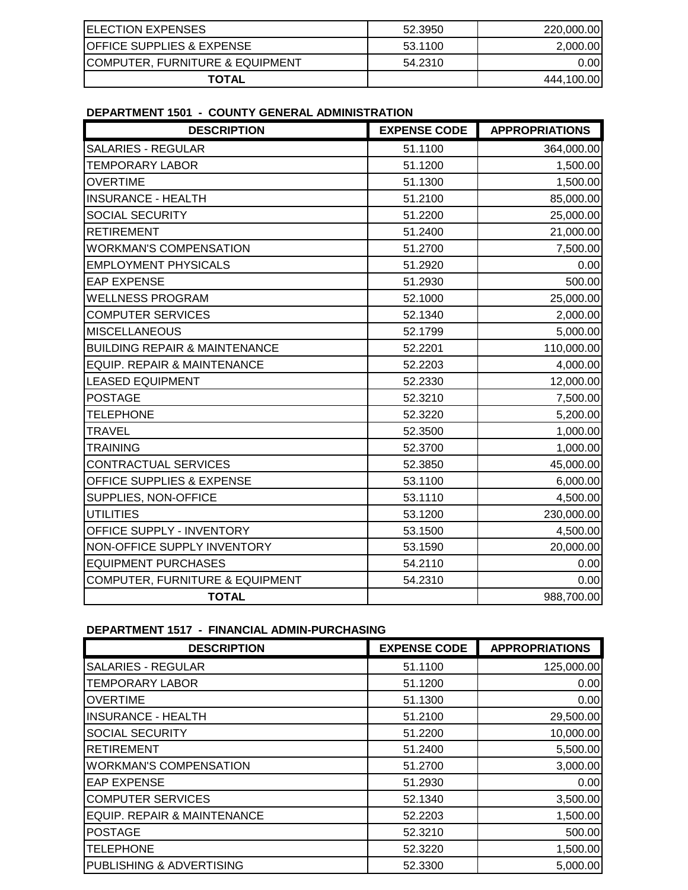| <b>IELECTION EXPENSES</b>                   | 52.3950 | 220,000,00 |
|---------------------------------------------|---------|------------|
| <b>IOFFICE SUPPLIES &amp; EXPENSE</b>       | 53.1100 | 2,000.00   |
| <b>ICOMPUTER, FURNITURE &amp; EQUIPMENT</b> | 54.2310 | 0.001      |
| <b>TOTAL</b>                                |         | 444,100.00 |

## **DEPARTMENT 1501 - COUNTY GENERAL ADMINISTRATION**

| <b>DESCRIPTION</b>                         | <b>EXPENSE CODE</b> | <b>APPROPRIATIONS</b> |
|--------------------------------------------|---------------------|-----------------------|
| <b>SALARIES - REGULAR</b>                  | 51.1100             | 364,000.00            |
| <b>TEMPORARY LABOR</b>                     | 51.1200             | 1,500.00              |
| <b>OVERTIME</b>                            | 51.1300             | 1,500.00              |
| <b>INSURANCE - HEALTH</b>                  | 51.2100             | 85,000.00             |
| SOCIAL SECURITY                            | 51.2200             | 25,000.00             |
| <b>RETIREMENT</b>                          | 51.2400             | 21,000.00             |
| <b>WORKMAN'S COMPENSATION</b>              | 51.2700             | 7,500.00              |
| <b>EMPLOYMENT PHYSICALS</b>                | 51.2920             | 0.00                  |
| <b>EAP EXPENSE</b>                         | 51.2930             | 500.00                |
| <b>WELLNESS PROGRAM</b>                    | 52.1000             | 25,000.00             |
| <b>COMPUTER SERVICES</b>                   | 52.1340             | 2,000.00              |
| <b>MISCELLANEOUS</b>                       | 52.1799             | 5,000.00              |
| <b>BUILDING REPAIR &amp; MAINTENANCE</b>   | 52.2201             | 110,000.00            |
| <b>EQUIP. REPAIR &amp; MAINTENANCE</b>     | 52.2203             | 4,000.00              |
| <b>LEASED EQUIPMENT</b>                    | 52.2330             | 12,000.00             |
| <b>POSTAGE</b>                             | 52.3210             | 7,500.00              |
| <b>TELEPHONE</b>                           | 52.3220             | 5,200.00              |
| <b>TRAVEL</b>                              | 52.3500             | 1,000.00              |
| <b>TRAINING</b>                            | 52.3700             | 1,000.00              |
| <b>CONTRACTUAL SERVICES</b>                | 52.3850             | 45,000.00             |
| <b>OFFICE SUPPLIES &amp; EXPENSE</b>       | 53.1100             | 6,000.00              |
| SUPPLIES, NON-OFFICE                       | 53.1110             | 4,500.00              |
| <b>UTILITIES</b>                           | 53.1200             | 230,000.00            |
| OFFICE SUPPLY - INVENTORY                  | 53.1500             | 4,500.00              |
| NON-OFFICE SUPPLY INVENTORY                | 53.1590             | 20,000.00             |
| <b>EQUIPMENT PURCHASES</b>                 | 54.2110             | 0.00                  |
| <b>COMPUTER, FURNITURE &amp; EQUIPMENT</b> | 54.2310             | 0.00                  |
| <b>TOTAL</b>                               |                     | 988,700.00            |

#### **DEPARTMENT 1517 - FINANCIAL ADMIN-PURCHASING**

| <b>DESCRIPTION</b>            | <b>EXPENSE CODE</b> | <b>APPROPRIATIONS</b> |
|-------------------------------|---------------------|-----------------------|
| <b>SALARIES - REGULAR</b>     | 51.1100             | 125,000.00            |
| <b>TEMPORARY LABOR</b>        | 51.1200             | 0.00                  |
| <b>OVERTIME</b>               | 51.1300             | 0.00                  |
| <b>INSURANCE - HEALTH</b>     | 51.2100             | 29,500.00             |
| <b>SOCIAL SECURITY</b>        | 51.2200             | 10,000.00             |
| <b>RETIREMENT</b>             | 51.2400             | 5,500.00              |
| <b>WORKMAN'S COMPENSATION</b> | 51.2700             | 3,000.00              |
| <b>EAP EXPENSE</b>            | 51.2930             | 0.00                  |
| <b>COMPUTER SERVICES</b>      | 52.1340             | 3,500.00              |
| EQUIP. REPAIR & MAINTENANCE   | 52.2203             | 1,500.00              |
| <b>POSTAGE</b>                | 52.3210             | 500.00                |
| <b>TELEPHONE</b>              | 52.3220             | 1,500.00              |
| PUBLISHING & ADVERTISING      | 52.3300             | 5,000.00              |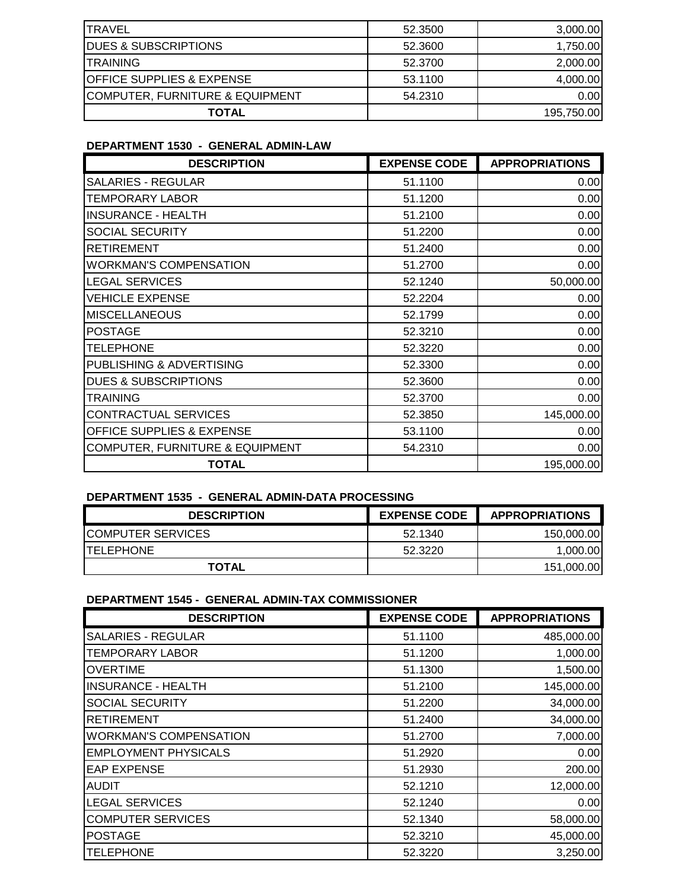| ITRAVEL                                     | 52.3500 | 3,000.00   |
|---------------------------------------------|---------|------------|
| <b>IDUES &amp; SUBSCRIPTIONS</b>            | 52.3600 | 1,750.00   |
| <b>ITRAINING</b>                            | 52,3700 | 2,000.00   |
| <b>IOFFICE SUPPLIES &amp; EXPENSE</b>       | 53.1100 | 4,000.00   |
| <b>ICOMPUTER, FURNITURE &amp; EQUIPMENT</b> | 54.2310 | 0.00       |
| TOTAL                                       |         | 195,750.00 |

## **DEPARTMENT 1530 - GENERAL ADMIN-LAW**

| <b>DESCRIPTION</b>                   | <b>EXPENSE CODE</b> | <b>APPROPRIATIONS</b> |
|--------------------------------------|---------------------|-----------------------|
| <b>SALARIES - REGULAR</b>            | 51.1100             | 0.00                  |
| TEMPORARY LABOR                      | 51.1200             | 0.00                  |
| <b>INSURANCE - HEALTH</b>            | 51.2100             | 0.00                  |
| <b>SOCIAL SECURITY</b>               | 51.2200             | 0.00                  |
| <b>RETIREMENT</b>                    | 51.2400             | 0.00                  |
| <b>WORKMAN'S COMPENSATION</b>        | 51.2700             | 0.00                  |
| <b>LEGAL SERVICES</b>                | 52.1240             | 50,000.00             |
| <b>VEHICLE EXPENSE</b>               | 52.2204             | 0.00                  |
| <b>MISCELLANEOUS</b>                 | 52.1799             | 0.00                  |
| <b>POSTAGE</b>                       | 52.3210             | 0.00                  |
| <b>TELEPHONE</b>                     | 52.3220             | 0.00                  |
| PUBLISHING & ADVERTISING             | 52.3300             | 0.00                  |
| <b>DUES &amp; SUBSCRIPTIONS</b>      | 52.3600             | 0.00                  |
| <b>TRAINING</b>                      | 52,3700             | 0.00                  |
| <b>CONTRACTUAL SERVICES</b>          | 52.3850             | 145,000.00            |
| <b>OFFICE SUPPLIES &amp; EXPENSE</b> | 53.1100             | 0.00                  |
| COMPUTER, FURNITURE & EQUIPMENT      | 54.2310             | 0.00                  |
| <b>TOTAL</b>                         |                     | 195,000.00            |

### **DEPARTMENT 1535 - GENERAL ADMIN-DATA PROCESSING**

| <b>DESCRIPTION</b>        | <b>EXPENSE CODE</b> | <b>APPROPRIATIONS</b> |
|---------------------------|---------------------|-----------------------|
| <b>ICOMPUTER SERVICES</b> | 52.1340             | 150,000.00            |
| <b>ITELEPHONE</b>         | 52.3220             | 1.000.00              |
| <b>TOTAL</b>              |                     | 151,000.00            |

### **DEPARTMENT 1545 - GENERAL ADMIN-TAX COMMISSIONER**

| <b>DESCRIPTION</b>            | <b>EXPENSE CODE</b> | <b>APPROPRIATIONS</b> |
|-------------------------------|---------------------|-----------------------|
| <b>SALARIES - REGULAR</b>     | 51.1100             | 485,000.00            |
| TEMPORARY LABOR               | 51.1200             | 1,000.00              |
| <b>OVERTIME</b>               | 51.1300             | 1,500.00              |
| <b>INSURANCE - HEALTH</b>     | 51.2100             | 145,000.00            |
| <b>SOCIAL SECURITY</b>        | 51.2200             | 34,000.00             |
| <b>RETIREMENT</b>             | 51.2400             | 34,000.00             |
| <b>WORKMAN'S COMPENSATION</b> | 51.2700             | 7,000.00              |
| <b>EMPLOYMENT PHYSICALS</b>   | 51.2920             | 0.00                  |
| <b>EAP EXPENSE</b>            | 51.2930             | 200.00                |
| <b>AUDIT</b>                  | 52.1210             | 12,000.00             |
| <b>LEGAL SERVICES</b>         | 52.1240             | 0.00                  |
| <b>COMPUTER SERVICES</b>      | 52.1340             | 58,000.00             |
| <b>POSTAGE</b>                | 52.3210             | 45,000.00             |
| <b>TELEPHONE</b>              | 52.3220             | 3,250.00              |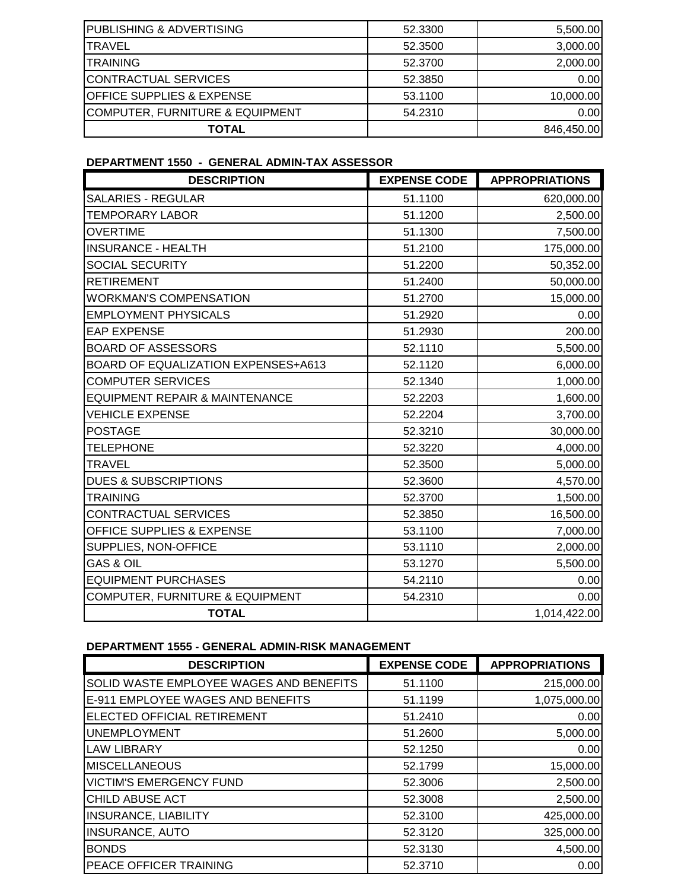| <b>IPUBLISHING &amp; ADVERTISING</b>  | 52.3300 | 5,500.00   |
|---------------------------------------|---------|------------|
| ITRAVEL                               | 52.3500 | 3,000.00   |
| <b>ITRAINING</b>                      | 52.3700 | 2,000.00   |
| <b>ICONTRACTUAL SERVICES</b>          | 52.3850 | 0.00       |
| <b>IOFFICE SUPPLIES &amp; EXPENSE</b> | 53.1100 | 10,000.00  |
| COMPUTER, FURNITURE & EQUIPMENT       | 54.2310 | 0.00       |
| <b>TOTAL</b>                          |         | 846,450.00 |

### **DEPARTMENT 1550 - GENERAL ADMIN-TAX ASSESSOR**

| <b>DESCRIPTION</b>                         | <b>EXPENSE CODE</b> | <b>APPROPRIATIONS</b> |
|--------------------------------------------|---------------------|-----------------------|
| <b>SALARIES - REGULAR</b>                  | 51.1100             | 620,000.00            |
| <b>TEMPORARY LABOR</b>                     | 51.1200             | 2,500.00              |
| <b>OVERTIME</b>                            | 51.1300             | 7,500.00              |
| <b>INSURANCE - HEALTH</b>                  | 51.2100             | 175,000.00            |
| <b>SOCIAL SECURITY</b>                     | 51.2200             | 50,352.00             |
| <b>RETIREMENT</b>                          | 51.2400             | 50,000.00             |
| <b>WORKMAN'S COMPENSATION</b>              | 51.2700             | 15,000.00             |
| <b>EMPLOYMENT PHYSICALS</b>                | 51.2920             | 0.00                  |
| <b>EAP EXPENSE</b>                         | 51.2930             | 200.00                |
| <b>BOARD OF ASSESSORS</b>                  | 52.1110             | 5,500.00              |
| <b>BOARD OF EQUALIZATION EXPENSES+A613</b> | 52.1120             | 6,000.00              |
| <b>COMPUTER SERVICES</b>                   | 52.1340             | 1,000.00              |
| <b>EQUIPMENT REPAIR &amp; MAINTENANCE</b>  | 52.2203             | 1,600.00              |
| <b>VEHICLE EXPENSE</b>                     | 52.2204             | 3,700.00              |
| <b>POSTAGE</b>                             | 52.3210             | 30,000.00             |
| <b>TELEPHONE</b>                           | 52.3220             | 4,000.00              |
| <b>TRAVEL</b>                              | 52.3500             | 5,000.00              |
| <b>DUES &amp; SUBSCRIPTIONS</b>            | 52.3600             | 4,570.00              |
| <b>TRAINING</b>                            | 52.3700             | 1,500.00              |
| CONTRACTUAL SERVICES                       | 52.3850             | 16,500.00             |
| OFFICE SUPPLIES & EXPENSE                  | 53.1100             | 7,000.00              |
| SUPPLIES, NON-OFFICE                       | 53.1110             | 2,000.00              |
| <b>GAS &amp; OIL</b>                       | 53.1270             | 5,500.00              |
| <b>EQUIPMENT PURCHASES</b>                 | 54.2110             | 0.00                  |
| COMPUTER, FURNITURE & EQUIPMENT            | 54.2310             | 0.00                  |
| <b>TOTAL</b>                               |                     | 1,014,422.00          |

## **DEPARTMENT 1555 - GENERAL ADMIN-RISK MANAGEMENT**

| <b>DESCRIPTION</b>                      | <b>EXPENSE CODE</b> | <b>APPROPRIATIONS</b> |
|-----------------------------------------|---------------------|-----------------------|
| SOLID WASTE EMPLOYEE WAGES AND BENEFITS | 51.1100             | 215,000.00            |
| E-911 EMPLOYEE WAGES AND BENEFITS       | 51.1199             | 1,075,000.00          |
| ELECTED OFFICIAL RETIREMENT             | 51.2410             | 0.00                  |
| <b>UNEMPLOYMENT</b>                     | 51.2600             | 5,000.00              |
| <b>LAW LIBRARY</b>                      | 52.1250             | 0.00                  |
| <b>MISCELLANEOUS</b>                    | 52.1799             | 15,000.00             |
| <b>VICTIM'S EMERGENCY FUND</b>          | 52.3006             | 2,500.00              |
| CHILD ABUSE ACT                         | 52,3008             | 2,500.00              |
| <b>INSURANCE, LIABILITY</b>             | 52.3100             | 425,000.00            |
| <b>INSURANCE, AUTO</b>                  | 52.3120             | 325,000.00            |
| <b>BONDS</b>                            | 52.3130             | 4,500.00              |
| PEACE OFFICER TRAINING                  | 52.3710             | 0.00                  |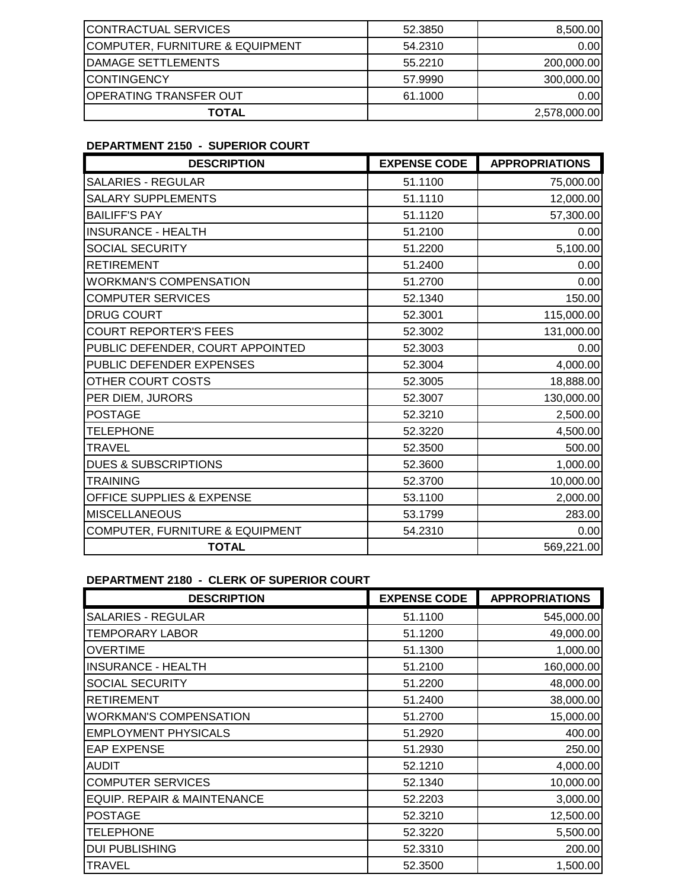| CONTRACTUAL SERVICES                       | 52.3850 | 8,500.00     |
|--------------------------------------------|---------|--------------|
| <b>COMPUTER, FURNITURE &amp; EQUIPMENT</b> | 54.2310 | 0.001        |
| <b>IDAMAGE SETTLEMENTS</b>                 | 55.2210 | 200,000.00   |
| <b>ICONTINGENCY</b>                        | 57.9990 | 300,000.00   |
| <b> OPERATING TRANSFER OUT</b>             | 61.1000 | 0.00         |
| TOTAL                                      |         | 2,578,000.00 |

## **DEPARTMENT 2150 - SUPERIOR COURT**

| <b>DESCRIPTION</b>               | <b>EXPENSE CODE</b> | <b>APPROPRIATIONS</b> |
|----------------------------------|---------------------|-----------------------|
| SALARIES - REGULAR               | 51.1100             | 75,000.00             |
| <b>SALARY SUPPLEMENTS</b>        | 51.1110             | 12,000.00             |
| <b>BAILIFF'S PAY</b>             | 51.1120             | 57,300.00             |
| <b>INSURANCE - HEALTH</b>        | 51.2100             | 0.00                  |
| SOCIAL SECURITY                  | 51.2200             | 5,100.00              |
| <b>RETIREMENT</b>                | 51.2400             | 0.00                  |
| <b>WORKMAN'S COMPENSATION</b>    | 51.2700             | 0.00                  |
| <b>COMPUTER SERVICES</b>         | 52.1340             | 150.00                |
| <b>DRUG COURT</b>                | 52.3001             | 115,000.00            |
| <b>COURT REPORTER'S FEES</b>     | 52.3002             | 131,000.00            |
| PUBLIC DEFENDER, COURT APPOINTED | 52.3003             | 0.00                  |
| PUBLIC DEFENDER EXPENSES         | 52.3004             | 4,000.00              |
| OTHER COURT COSTS                | 52.3005             | 18,888.00             |
| PER DIEM, JURORS                 | 52.3007             | 130,000.00            |
| <b>POSTAGE</b>                   | 52.3210             | 2,500.00              |
| <b>TELEPHONE</b>                 | 52.3220             | 4,500.00              |
| <b>TRAVEL</b>                    | 52.3500             | 500.00                |
| <b>DUES &amp; SUBSCRIPTIONS</b>  | 52.3600             | 1,000.00              |
| <b>TRAINING</b>                  | 52.3700             | 10,000.00             |
| OFFICE SUPPLIES & EXPENSE        | 53.1100             | 2,000.00              |
| <b>MISCELLANEOUS</b>             | 53.1799             | 283.00                |
| COMPUTER, FURNITURE & EQUIPMENT  | 54.2310             | 0.00                  |
| <b>TOTAL</b>                     |                     | 569,221.00            |

## **DEPARTMENT 2180 - CLERK OF SUPERIOR COURT**

| <b>DESCRIPTION</b>            | <b>EXPENSE CODE</b> | <b>APPROPRIATIONS</b> |
|-------------------------------|---------------------|-----------------------|
| <b>SALARIES - REGULAR</b>     | 51.1100             | 545,000.00            |
| TEMPORARY LABOR               | 51.1200             | 49,000.00             |
| <b>OVERTIME</b>               | 51.1300             | 1,000.00              |
| <b>INSURANCE - HEALTH</b>     | 51.2100             | 160,000.00            |
| SOCIAL SECURITY               | 51.2200             | 48,000.00             |
| <b>RETIREMENT</b>             | 51.2400             | 38,000.00             |
| <b>WORKMAN'S COMPENSATION</b> | 51.2700             | 15,000.00             |
| <b>EMPLOYMENT PHYSICALS</b>   | 51.2920             | 400.00                |
| <b>EAP EXPENSE</b>            | 51.2930             | 250.00                |
| <b>AUDIT</b>                  | 52.1210             | 4,000.00              |
| <b>COMPUTER SERVICES</b>      | 52.1340             | 10,000.00             |
| EQUIP. REPAIR & MAINTENANCE   | 52.2203             | 3,000.00              |
| <b>POSTAGE</b>                | 52.3210             | 12,500.00             |
| <b>TELEPHONE</b>              | 52.3220             | 5,500.00              |
| <b>DUI PUBLISHING</b>         | 52.3310             | 200.00                |
| TRAVEL                        | 52.3500             | 1,500.00              |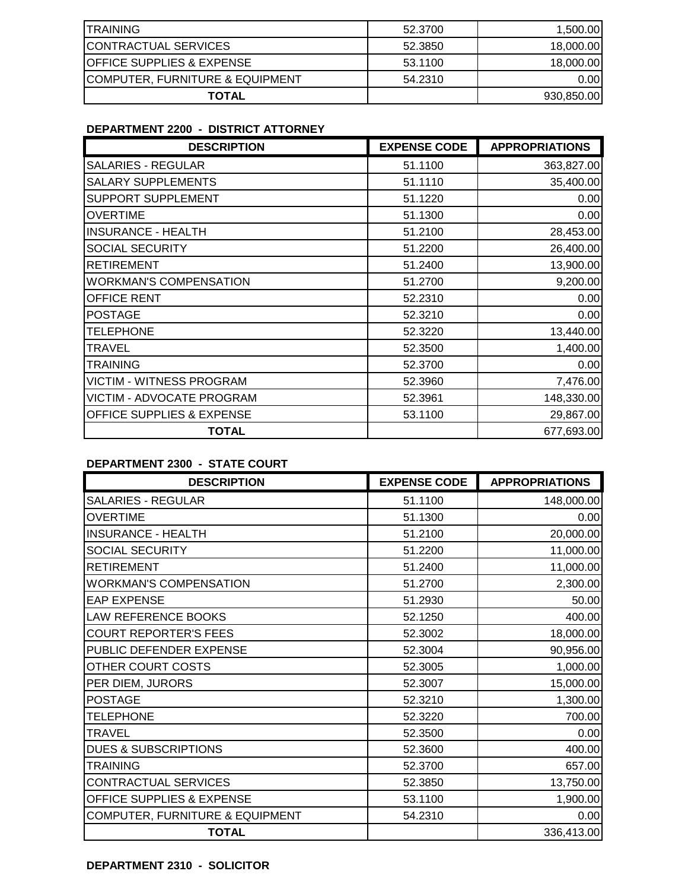| <b>ITRAINING</b>                     | 52.3700 | 1,500.00   |
|--------------------------------------|---------|------------|
| <b>CONTRACTUAL SERVICES</b>          | 52.3850 | 18,000.00  |
| <b>OFFICE SUPPLIES &amp; EXPENSE</b> | 53.1100 | 18,000.00  |
| COMPUTER, FURNITURE & EQUIPMENT      | 54.2310 | 0.001      |
| TOTAL                                |         | 930,850.00 |

# **DEPARTMENT 2200 - DISTRICT ATTORNEY**

| <b>DESCRIPTION</b>                   | <b>EXPENSE CODE</b> | <b>APPROPRIATIONS</b> |
|--------------------------------------|---------------------|-----------------------|
| <b>SALARIES - REGULAR</b>            | 51.1100             | 363,827.00            |
| <b>SALARY SUPPLEMENTS</b>            | 51.1110             | 35,400.00             |
| SUPPORT SUPPLEMENT                   | 51.1220             | 0.00                  |
| <b>OVERTIME</b>                      | 51.1300             | 0.00                  |
| <b>INSURANCE - HEALTH</b>            | 51.2100             | 28,453.00             |
| SOCIAL SECURITY                      | 51.2200             | 26,400.00             |
| <b>RETIREMENT</b>                    | 51.2400             | 13,900.00             |
| <b>WORKMAN'S COMPENSATION</b>        | 51.2700             | 9,200.00              |
| OFFICE RENT                          | 52.2310             | 0.00                  |
| <b>POSTAGE</b>                       | 52.3210             | 0.00                  |
| <b>TELEPHONE</b>                     | 52.3220             | 13,440.00             |
| <b>TRAVEL</b>                        | 52.3500             | 1,400.00              |
| <b>TRAINING</b>                      | 52.3700             | 0.00                  |
| <b>VICTIM - WITNESS PROGRAM</b>      | 52.3960             | 7,476.00              |
| VICTIM - ADVOCATE PROGRAM            | 52.3961             | 148,330.00            |
| <b>OFFICE SUPPLIES &amp; EXPENSE</b> | 53.1100             | 29,867.00             |
| TOTAL                                |                     | 677,693.00            |

## **DEPARTMENT 2300 - STATE COURT**

| <b>DESCRIPTION</b>              | <b>EXPENSE CODE</b> | <b>APPROPRIATIONS</b> |
|---------------------------------|---------------------|-----------------------|
| <b>SALARIES - REGULAR</b>       | 51.1100             | 148,000.00            |
| <b>OVERTIME</b>                 | 51.1300             | 0.00                  |
| <b>INSURANCE - HEALTH</b>       | 51.2100             | 20,000.00             |
| SOCIAL SECURITY                 | 51.2200             | 11,000.00             |
| <b>RETIREMENT</b>               | 51.2400             | 11,000.00             |
| <b>WORKMAN'S COMPENSATION</b>   | 51.2700             | 2,300.00              |
| <b>EAP EXPENSE</b>              | 51.2930             | 50.00                 |
| <b>LAW REFERENCE BOOKS</b>      | 52.1250             | 400.00                |
| <b>COURT REPORTER'S FEES</b>    | 52.3002             | 18,000.00             |
| PUBLIC DEFENDER EXPENSE         | 52.3004             | 90,956.00             |
| OTHER COURT COSTS               | 52.3005             | 1,000.00              |
| PER DIEM, JURORS                | 52.3007             | 15,000.00             |
| <b>POSTAGE</b>                  | 52.3210             | 1,300.00              |
| <b>TELEPHONE</b>                | 52.3220             | 700.00                |
| TRAVEL                          | 52.3500             | 0.00                  |
| <b>DUES &amp; SUBSCRIPTIONS</b> | 52.3600             | 400.00                |
| <b>TRAINING</b>                 | 52.3700             | 657.00                |
| CONTRACTUAL SERVICES            | 52.3850             | 13,750.00             |
| OFFICE SUPPLIES & EXPENSE       | 53.1100             | 1,900.00              |
| COMPUTER, FURNITURE & EQUIPMENT | 54.2310             | 0.00                  |
| <b>TOTAL</b>                    |                     | 336,413.00            |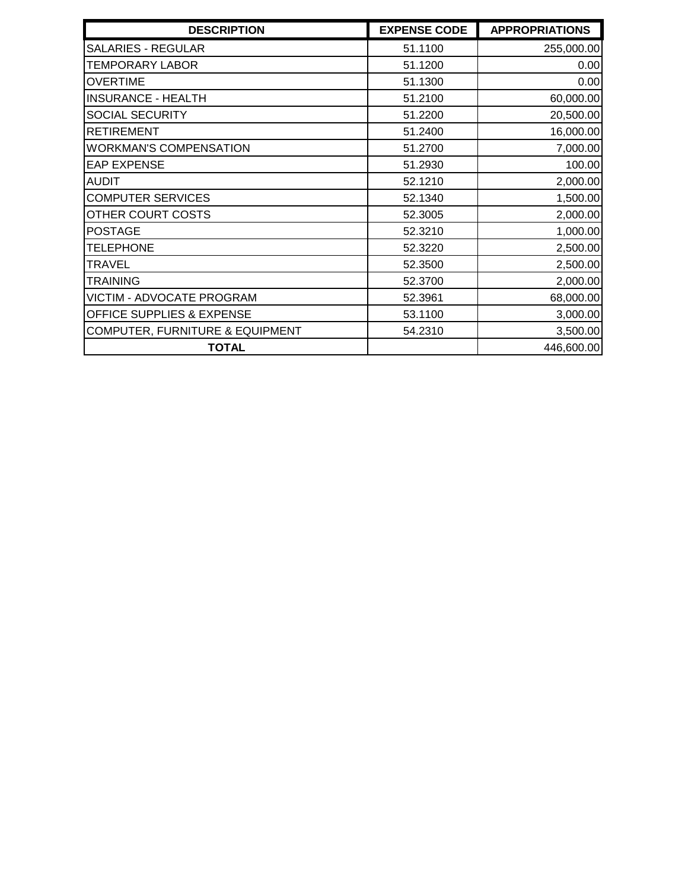| <b>DESCRIPTION</b>              | <b>EXPENSE CODE</b> | <b>APPROPRIATIONS</b> |
|---------------------------------|---------------------|-----------------------|
| <b>SALARIES - REGULAR</b>       | 51.1100             | 255,000.00            |
| <b>TEMPORARY LABOR</b>          | 51.1200             | 0.00                  |
| <b>OVERTIME</b>                 | 51.1300             | 0.00                  |
| <b>INSURANCE - HEALTH</b>       | 51.2100             | 60,000.00             |
| SOCIAL SECURITY                 | 51.2200             | 20,500.00             |
| <b>RETIREMENT</b>               | 51.2400             | 16,000.00             |
| <b>WORKMAN'S COMPENSATION</b>   | 51.2700             | 7,000.00              |
| <b>EAP EXPENSE</b>              | 51.2930             | 100.00                |
| <b>AUDIT</b>                    | 52.1210             | 2,000.00              |
| <b>COMPUTER SERVICES</b>        | 52.1340             | 1,500.00              |
| OTHER COURT COSTS               | 52.3005             | 2,000.00              |
| <b>POSTAGE</b>                  | 52.3210             | 1,000.00              |
| <b>TELEPHONE</b>                | 52.3220             | 2,500.00              |
| TRAVEL                          | 52.3500             | 2,500.00              |
| <b>TRAINING</b>                 | 52.3700             | 2,000.00              |
| VICTIM - ADVOCATE PROGRAM       | 52.3961             | 68,000.00             |
| OFFICE SUPPLIES & EXPENSE       | 53.1100             | 3,000.00              |
| COMPUTER, FURNITURE & EQUIPMENT | 54.2310             | 3,500.00              |
| <b>TOTAL</b>                    |                     | 446,600.00            |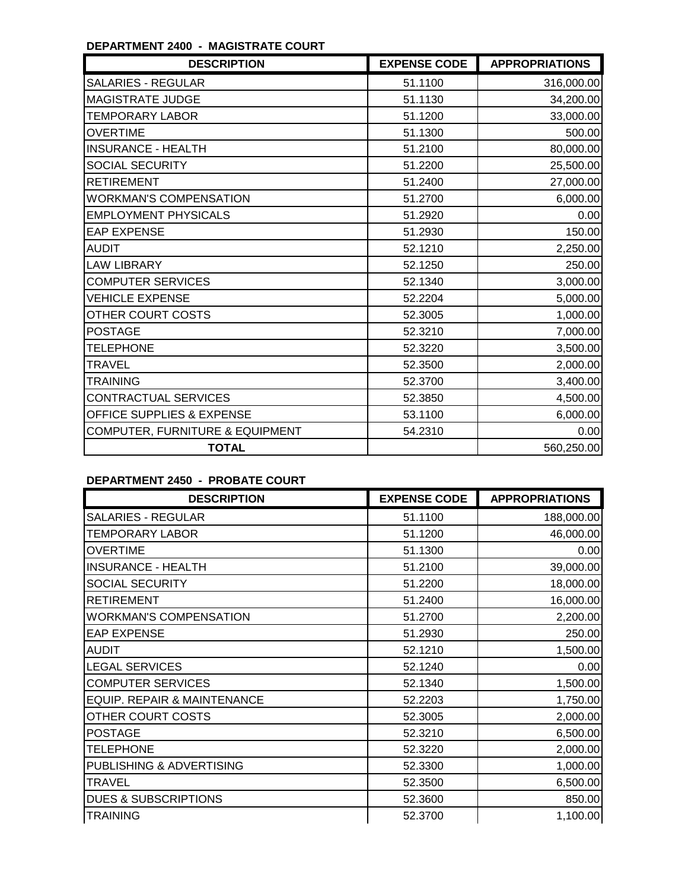## **DEPARTMENT 2400 - MAGISTRATE COURT**

| <b>DESCRIPTION</b>              | <b>EXPENSE CODE</b> | <b>APPROPRIATIONS</b> |
|---------------------------------|---------------------|-----------------------|
| SALARIES - REGULAR              | 51.1100             | 316,000.00            |
| MAGISTRATE JUDGE                | 51.1130             | 34,200.00             |
| <b>TEMPORARY LABOR</b>          | 51.1200             | 33,000.00             |
| <b>OVERTIME</b>                 | 51.1300             | 500.00                |
| <b>INSURANCE - HEALTH</b>       | 51.2100             | 80,000.00             |
| <b>SOCIAL SECURITY</b>          | 51.2200             | 25,500.00             |
| <b>RETIREMENT</b>               | 51.2400             | 27,000.00             |
| <b>WORKMAN'S COMPENSATION</b>   | 51.2700             | 6,000.00              |
| <b>EMPLOYMENT PHYSICALS</b>     | 51.2920             | 0.00                  |
| <b>EAP EXPENSE</b>              | 51.2930             | 150.00                |
| <b>AUDIT</b>                    | 52.1210             | 2,250.00              |
| <b>LAW LIBRARY</b>              | 52.1250             | 250.00                |
| <b>COMPUTER SERVICES</b>        | 52.1340             | 3,000.00              |
| <b>VEHICLE EXPENSE</b>          | 52.2204             | 5,000.00              |
| OTHER COURT COSTS               | 52.3005             | 1,000.00              |
| <b>POSTAGE</b>                  | 52.3210             | 7,000.00              |
| <b>TELEPHONE</b>                | 52.3220             | 3,500.00              |
| <b>TRAVEL</b>                   | 52.3500             | 2,000.00              |
| <b>TRAINING</b>                 | 52.3700             | 3,400.00              |
| CONTRACTUAL SERVICES            | 52.3850             | 4,500.00              |
| OFFICE SUPPLIES & EXPENSE       | 53.1100             | 6,000.00              |
| COMPUTER, FURNITURE & EQUIPMENT | 54.2310             | 0.00                  |
| <b>TOTAL</b>                    |                     | 560,250.00            |

# **DEPARTMENT 2450 - PROBATE COURT**

| <b>DESCRIPTION</b>              | <b>EXPENSE CODE</b> | <b>APPROPRIATIONS</b> |
|---------------------------------|---------------------|-----------------------|
| <b>SALARIES - REGULAR</b>       | 51.1100             | 188,000.00            |
| TEMPORARY LABOR                 | 51.1200             | 46,000.00             |
| <b>OVERTIME</b>                 | 51.1300             | 0.00                  |
| <b>INSURANCE - HEALTH</b>       | 51.2100             | 39,000.00             |
| SOCIAL SECURITY                 | 51.2200             | 18,000.00             |
| <b>RETIREMENT</b>               | 51.2400             | 16,000.00             |
| <b>WORKMAN'S COMPENSATION</b>   | 51.2700             | 2,200.00              |
| <b>EAP EXPENSE</b>              | 51.2930             | 250.00                |
| <b>AUDIT</b>                    | 52.1210             | 1,500.00              |
| <b>LEGAL SERVICES</b>           | 52.1240             | 0.00                  |
| <b>COMPUTER SERVICES</b>        | 52.1340             | 1,500.00              |
| EQUIP. REPAIR & MAINTENANCE     | 52.2203             | 1,750.00              |
| OTHER COURT COSTS               | 52.3005             | 2,000.00              |
| <b>POSTAGE</b>                  | 52.3210             | 6,500.00              |
| <b>TELEPHONE</b>                | 52.3220             | 2,000.00              |
| PUBLISHING & ADVERTISING        | 52.3300             | 1,000.00              |
| <b>TRAVEL</b>                   | 52.3500             | 6,500.00              |
| <b>DUES &amp; SUBSCRIPTIONS</b> | 52.3600             | 850.00                |
| <b>TRAINING</b>                 | 52.3700             | 1,100.00              |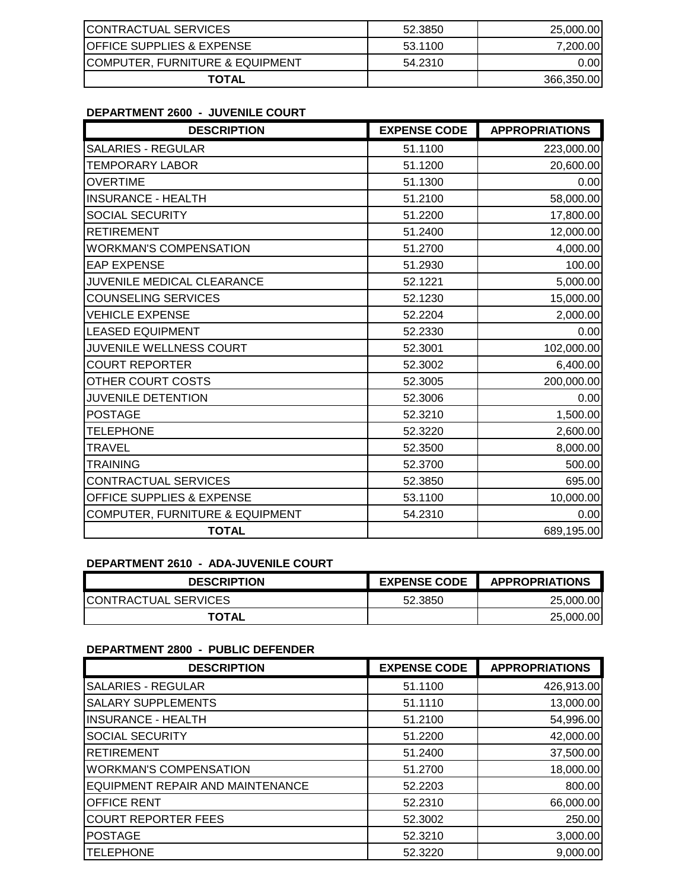| <b>ICONTRACTUAL SERVICES</b>         | 52.3850 | 25,000.00  |
|--------------------------------------|---------|------------|
| <b>OFFICE SUPPLIES &amp; EXPENSE</b> | 53.1100 | 7,200.00   |
| ICOMPUTER, FURNITURE & EQUIPMENT     | 54.2310 | 0.001      |
| <b>TOTAL</b>                         |         | 366,350.00 |

## **DEPARTMENT 2600 - JUVENILE COURT**

| <b>DESCRIPTION</b>              | <b>EXPENSE CODE</b> | <b>APPROPRIATIONS</b> |
|---------------------------------|---------------------|-----------------------|
| <b>SALARIES - REGULAR</b>       | 51.1100             | 223,000.00            |
| <b>TEMPORARY LABOR</b>          | 51.1200             | 20,600.00             |
| <b>OVERTIME</b>                 | 51.1300             | 0.00                  |
| <b>INSURANCE - HEALTH</b>       | 51.2100             | 58,000.00             |
| SOCIAL SECURITY                 | 51.2200             | 17,800.00             |
| <b>RETIREMENT</b>               | 51.2400             | 12,000.00             |
| <b>WORKMAN'S COMPENSATION</b>   | 51.2700             | 4,000.00              |
| <b>EAP EXPENSE</b>              | 51.2930             | 100.00                |
| JUVENILE MEDICAL CLEARANCE      | 52.1221             | 5,000.00              |
| <b>COUNSELING SERVICES</b>      | 52.1230             | 15,000.00             |
| <b>VEHICLE EXPENSE</b>          | 52.2204             | 2,000.00              |
| <b>LEASED EQUIPMENT</b>         | 52.2330             | 0.00                  |
| JUVENILE WELLNESS COURT         | 52.3001             | 102,000.00            |
| <b>COURT REPORTER</b>           | 52.3002             | 6,400.00              |
| OTHER COURT COSTS               | 52.3005             | 200,000.00            |
| JUVENILE DETENTION              | 52.3006             | 0.00                  |
| <b>POSTAGE</b>                  | 52.3210             | 1,500.00              |
| <b>TELEPHONE</b>                | 52.3220             | 2,600.00              |
| <b>TRAVEL</b>                   | 52.3500             | 8,000.00              |
| <b>TRAINING</b>                 | 52.3700             | 500.00                |
| CONTRACTUAL SERVICES            | 52.3850             | 695.00                |
| OFFICE SUPPLIES & EXPENSE       | 53.1100             | 10,000.00             |
| COMPUTER, FURNITURE & EQUIPMENT | 54.2310             | 0.00                  |
| <b>TOTAL</b>                    |                     | 689,195.00            |

## **DEPARTMENT 2610 - ADA-JUVENILE COURT**

| <b>DESCRIPTION</b>           | <b>EXPENSE CODE</b> | <b>APPROPRIATIONS</b> |
|------------------------------|---------------------|-----------------------|
| <b>ICONTRACTUAL SERVICES</b> | 52.3850             | 25,000.00             |
| <b>TOTAL</b>                 |                     | 25,000.00             |

## **DEPARTMENT 2800 - PUBLIC DEFENDER**

| <b>DESCRIPTION</b>               | <b>EXPENSE CODE</b> | <b>APPROPRIATIONS</b> |
|----------------------------------|---------------------|-----------------------|
| <b>SALARIES - REGULAR</b>        | 51.1100             | 426,913.00            |
| <b>SALARY SUPPLEMENTS</b>        | 51.1110             | 13,000.00             |
| <b>INSURANCE - HEALTH</b>        | 51.2100             | 54,996.00             |
| <b>SOCIAL SECURITY</b>           | 51.2200             | 42,000.00             |
| <b>RETIREMENT</b>                | 51.2400             | 37,500.00             |
| <b>WORKMAN'S COMPENSATION</b>    | 51.2700             | 18,000.00             |
| EQUIPMENT REPAIR AND MAINTENANCE | 52.2203             | 800.00                |
| <b>OFFICE RENT</b>               | 52.2310             | 66,000.00             |
| <b>COURT REPORTER FEES</b>       | 52.3002             | 250.00                |
| <b>POSTAGE</b>                   | 52.3210             | 3,000.00              |
| <b>TELEPHONE</b>                 | 52.3220             | 9,000.00              |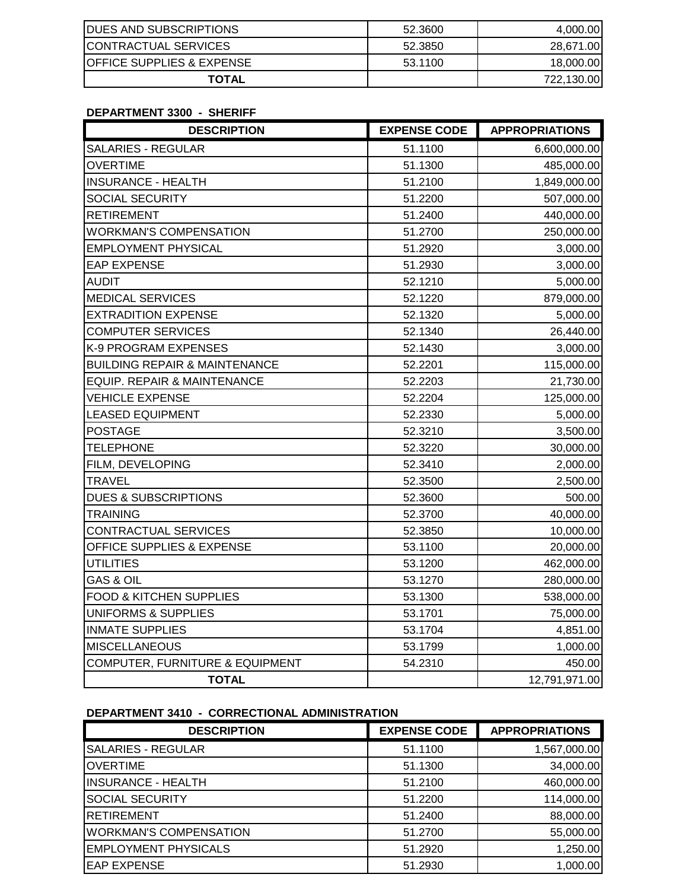| <b>DUES AND SUBSCRIPTIONS</b>        | 52.3600 | 4,000.00   |
|--------------------------------------|---------|------------|
| <b>ICONTRACTUAL SERVICES</b>         | 52.3850 | 28,671.00  |
| <b>OFFICE SUPPLIES &amp; EXPENSE</b> | 53.1100 | 18,000.00  |
| <b>TOTAL</b>                         |         | 722,130.00 |

## **DEPARTMENT 3300 - SHERIFF**

| <b>DESCRIPTION</b>                         | <b>EXPENSE CODE</b> | <b>APPROPRIATIONS</b> |
|--------------------------------------------|---------------------|-----------------------|
| <b>SALARIES - REGULAR</b>                  | 51.1100             | 6,600,000.00          |
| <b>OVERTIME</b>                            | 51.1300             | 485,000.00            |
| <b>INSURANCE - HEALTH</b>                  | 51.2100             | 1,849,000.00          |
| SOCIAL SECURITY                            | 51.2200             | 507,000.00            |
| <b>RETIREMENT</b>                          | 51.2400             | 440,000.00            |
| <b>WORKMAN'S COMPENSATION</b>              | 51.2700             | 250,000.00            |
| <b>EMPLOYMENT PHYSICAL</b>                 | 51.2920             | 3,000.00              |
| <b>EAP EXPENSE</b>                         | 51.2930             | 3,000.00              |
| <b>AUDIT</b>                               | 52.1210             | 5,000.00              |
| <b>MEDICAL SERVICES</b>                    | 52.1220             | 879,000.00            |
| <b>EXTRADITION EXPENSE</b>                 | 52.1320             | 5,000.00              |
| <b>COMPUTER SERVICES</b>                   | 52.1340             | 26,440.00             |
| K-9 PROGRAM EXPENSES                       | 52.1430             | 3,000.00              |
| <b>BUILDING REPAIR &amp; MAINTENANCE</b>   | 52.2201             | 115,000.00            |
| <b>EQUIP. REPAIR &amp; MAINTENANCE</b>     | 52.2203             | 21,730.00             |
| <b>VEHICLE EXPENSE</b>                     | 52.2204             | 125,000.00            |
| <b>LEASED EQUIPMENT</b>                    | 52.2330             | 5,000.00              |
| <b>POSTAGE</b>                             | 52.3210             | 3,500.00              |
| <b>TELEPHONE</b>                           | 52.3220             | 30,000.00             |
| FILM, DEVELOPING                           | 52.3410             | 2,000.00              |
| <b>TRAVEL</b>                              | 52.3500             | 2,500.00              |
| <b>DUES &amp; SUBSCRIPTIONS</b>            | 52.3600             | 500.00                |
| <b>TRAINING</b>                            | 52.3700             | 40,000.00             |
| <b>CONTRACTUAL SERVICES</b>                | 52.3850             | 10,000.00             |
| <b>OFFICE SUPPLIES &amp; EXPENSE</b>       | 53.1100             | 20,000.00             |
| <b>UTILITIES</b>                           | 53.1200             | 462,000.00            |
| <b>GAS &amp; OIL</b>                       | 53.1270             | 280,000.00            |
| <b>FOOD &amp; KITCHEN SUPPLIES</b>         | 53.1300             | 538,000.00            |
| UNIFORMS & SUPPLIES                        | 53.1701             | 75,000.00             |
| <b>INMATE SUPPLIES</b>                     | 53.1704             | 4,851.00              |
| <b>MISCELLANEOUS</b>                       | 53.1799             | 1,000.00              |
| <b>COMPUTER, FURNITURE &amp; EQUIPMENT</b> | 54.2310             | 450.00                |
| <b>TOTAL</b>                               |                     | 12,791,971.00         |

#### **DEPARTMENT 3410 - CORRECTIONAL ADMINISTRATION**

| <b>DESCRIPTION</b>            | <b>EXPENSE CODE</b> | <b>APPROPRIATIONS</b> |
|-------------------------------|---------------------|-----------------------|
| <b>SALARIES - REGULAR</b>     | 51.1100             | 1,567,000.00          |
| <b>OVERTIME</b>               | 51.1300             | 34,000.00             |
| <b>INSURANCE - HEALTH</b>     | 51.2100             | 460,000.00            |
| <b>SOCIAL SECURITY</b>        | 51.2200             | 114,000.00            |
| <b>RETIREMENT</b>             | 51.2400             | 88,000.00             |
| <b>WORKMAN'S COMPENSATION</b> | 51.2700             | 55,000.00             |
| <b>EMPLOYMENT PHYSICALS</b>   | 51.2920             | 1,250.00              |
| <b>EAP EXPENSE</b>            | 51.2930             | 1,000.00              |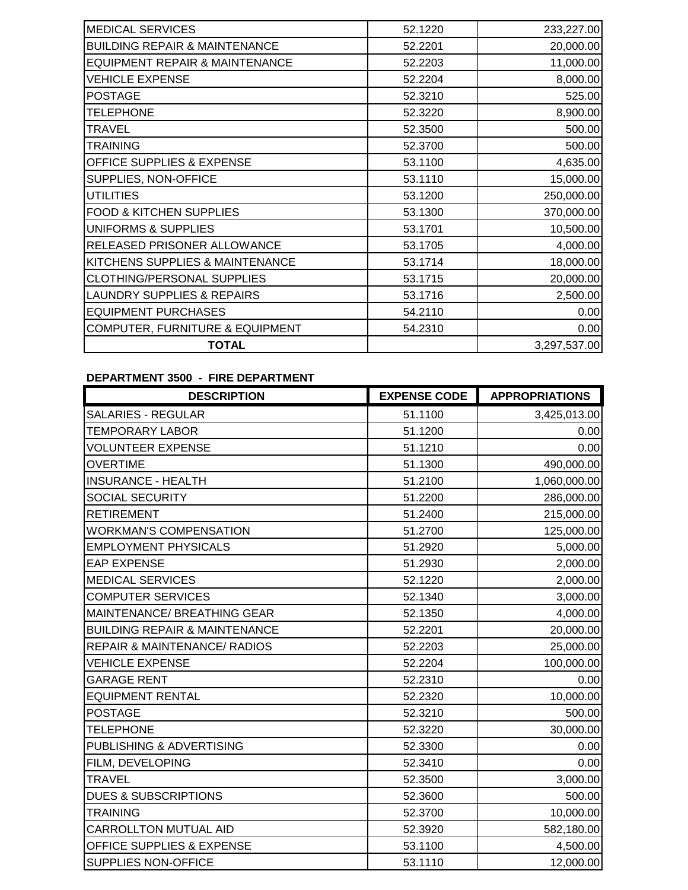| 52.1220 | 233,227.00   |
|---------|--------------|
| 52.2201 | 20,000.00    |
| 52.2203 | 11,000.00    |
| 52.2204 | 8,000.00     |
| 52.3210 | 525.00       |
| 52.3220 | 8,900.00     |
| 52.3500 | 500.00       |
| 52.3700 | 500.00       |
| 53.1100 | 4,635.00     |
| 53.1110 | 15,000.00    |
| 53.1200 | 250,000.00   |
| 53.1300 | 370,000.00   |
| 53.1701 | 10,500.00    |
| 53.1705 | 4,000.00     |
| 53.1714 | 18,000.00    |
| 53.1715 | 20,000.00    |
| 53.1716 | 2,500.00     |
| 54.2110 | 0.00         |
| 54.2310 | 0.00         |
|         | 3,297,537.00 |
|         |              |

# **DEPARTMENT 3500 - FIRE DEPARTMENT**

| <b>DESCRIPTION</b>                       | <b>EXPENSE CODE</b> | <b>APPROPRIATIONS</b> |
|------------------------------------------|---------------------|-----------------------|
| <b>SALARIES - REGULAR</b>                | 51.1100             | 3,425,013.00          |
| <b>TEMPORARY LABOR</b>                   | 51.1200             | 0.00                  |
| <b>VOLUNTEER EXPENSE</b>                 | 51.1210             | 0.00                  |
| <b>OVERTIME</b>                          | 51.1300             | 490,000.00            |
| <b>INSURANCE - HEALTH</b>                | 51.2100             | 1,060,000.00          |
| SOCIAL SECURITY                          | 51.2200             | 286,000.00            |
| <b>RETIREMENT</b>                        | 51.2400             | 215,000.00            |
| <b>WORKMAN'S COMPENSATION</b>            | 51.2700             | 125,000.00            |
| <b>EMPLOYMENT PHYSICALS</b>              | 51.2920             | 5,000.00              |
| <b>EAP EXPENSE</b>                       | 51.2930             | 2,000.00              |
| <b>MEDICAL SERVICES</b>                  | 52.1220             | 2,000.00              |
| <b>COMPUTER SERVICES</b>                 | 52.1340             | 3,000.00              |
| MAINTENANCE/ BREATHING GEAR              | 52.1350             | 4,000.00              |
| <b>BUILDING REPAIR &amp; MAINTENANCE</b> | 52.2201             | 20,000.00             |
| <b>REPAIR &amp; MAINTENANCE/ RADIOS</b>  | 52.2203             | 25,000.00             |
| <b>VEHICLE EXPENSE</b>                   | 52.2204             | 100,000.00            |
| <b>GARAGE RENT</b>                       | 52.2310             | 0.00                  |
| <b>EQUIPMENT RENTAL</b>                  | 52.2320             | 10,000.00             |
| <b>POSTAGE</b>                           | 52.3210             | 500.00                |
| <b>TELEPHONE</b>                         | 52.3220             | 30,000.00             |
| PUBLISHING & ADVERTISING                 | 52.3300             | 0.00                  |
| FILM, DEVELOPING                         | 52.3410             | 0.00                  |
| <b>TRAVEL</b>                            | 52.3500             | 3,000.00              |
| <b>DUES &amp; SUBSCRIPTIONS</b>          | 52.3600             | 500.00                |
| <b>TRAINING</b>                          | 52.3700             | 10,000.00             |
| CARROLLTON MUTUAL AID                    | 52.3920             | 582,180.00            |
| <b>OFFICE SUPPLIES &amp; EXPENSE</b>     | 53.1100             | 4,500.00              |
| SUPPLIES NON-OFFICE                      | 53.1110             | 12,000.00             |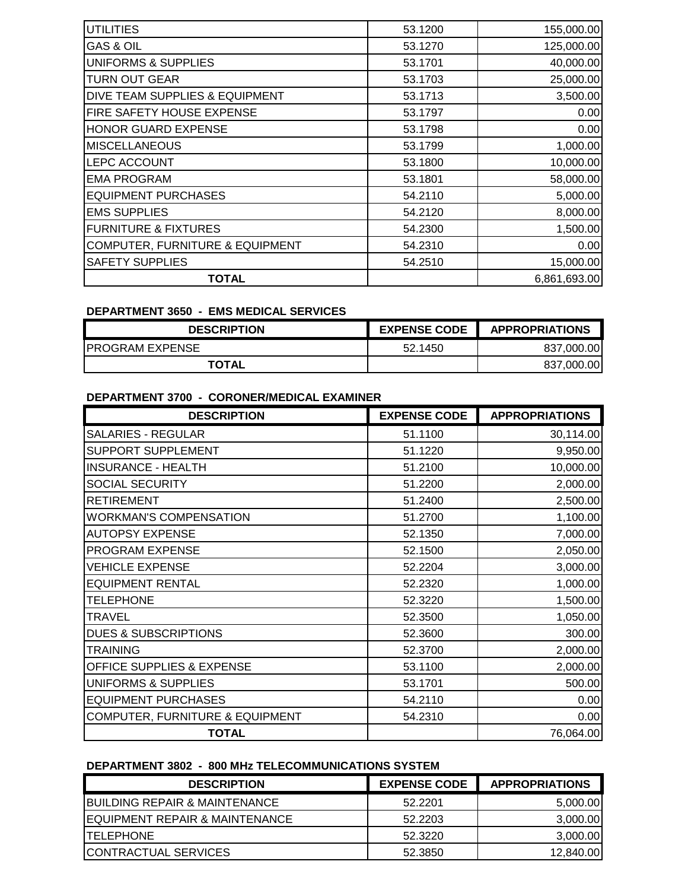| <b>UTILITIES</b>                           | 53.1200 | 155,000.00   |
|--------------------------------------------|---------|--------------|
| GAS & OIL                                  | 53.1270 | 125,000.00   |
| <b>UNIFORMS &amp; SUPPLIES</b>             | 53.1701 | 40,000.00    |
| <b>TURN OUT GEAR</b>                       | 53.1703 | 25,000.00    |
| DIVE TEAM SUPPLIES & EQUIPMENT             | 53.1713 | 3,500.00     |
| FIRE SAFETY HOUSE EXPENSE                  | 53.1797 | 0.00         |
| <b>HONOR GUARD EXPENSE</b>                 | 53.1798 | 0.00         |
| <b>MISCELLANEOUS</b>                       | 53.1799 | 1,000.00     |
| LEPC ACCOUNT                               | 53.1800 | 10,000.00    |
| <b>EMA PROGRAM</b>                         | 53.1801 | 58,000.00    |
| <b>EQUIPMENT PURCHASES</b>                 | 54.2110 | 5,000.00     |
| <b>EMS SUPPLIES</b>                        | 54.2120 | 8,000.00     |
| <b>FURNITURE &amp; FIXTURES</b>            | 54.2300 | 1,500.00     |
| <b>COMPUTER, FURNITURE &amp; EQUIPMENT</b> | 54.2310 | 0.00         |
| <b>SAFETY SUPPLIES</b>                     | 54.2510 | 15,000.00    |
| <b>TOTAL</b>                               |         | 6,861,693.00 |

### **DEPARTMENT 3650 - EMS MEDICAL SERVICES**

| <b>DESCRIPTION</b>      | <b>EXPENSE CODE</b> | <b>APPROPRIATIONS</b> |
|-------------------------|---------------------|-----------------------|
| <b>IPROGRAM EXPENSE</b> | 52.1450             | 837,000.00            |
| TOTAL                   |                     | 837,000.00            |

#### **DEPARTMENT 3700 - CORONER/MEDICAL EXAMINER**

| <b>DESCRIPTION</b>              | <b>EXPENSE CODE</b> | <b>APPROPRIATIONS</b> |
|---------------------------------|---------------------|-----------------------|
| <b>SALARIES - REGULAR</b>       | 51.1100             | 30,114.00             |
| SUPPORT SUPPLEMENT              | 51.1220             | 9,950.00              |
| <b>INSURANCE - HEALTH</b>       | 51.2100             | 10,000.00             |
| SOCIAL SECURITY                 | 51.2200             | 2,000.00              |
| <b>RETIREMENT</b>               | 51.2400             | 2,500.00              |
| <b>WORKMAN'S COMPENSATION</b>   | 51.2700             | 1,100.00              |
| <b>AUTOPSY EXPENSE</b>          | 52.1350             | 7,000.00              |
| PROGRAM EXPENSE                 | 52.1500             | 2,050.00              |
| <b>VEHICLE EXPENSE</b>          | 52.2204             | 3,000.00              |
| <b>EQUIPMENT RENTAL</b>         | 52.2320             | 1,000.00              |
| <b>TELEPHONE</b>                | 52.3220             | 1,500.00              |
| TRAVEL                          | 52.3500             | 1,050.00              |
| <b>DUES &amp; SUBSCRIPTIONS</b> | 52.3600             | 300.00                |
| TRAINING                        | 52.3700             | 2,000.00              |
| OFFICE SUPPLIES & EXPENSE       | 53.1100             | 2,000.00              |
| <b>UNIFORMS &amp; SUPPLIES</b>  | 53.1701             | 500.00                |
| <b>EQUIPMENT PURCHASES</b>      | 54.2110             | 0.00                  |
| COMPUTER, FURNITURE & EQUIPMENT | 54.2310             | 0.00                  |
| <b>TOTAL</b>                    |                     | 76,064.00             |

# **DEPARTMENT 3802 - 800 MHz TELECOMMUNICATIONS SYSTEM**

| <b>DESCRIPTION</b>                         | <b>EXPENSE CODE</b> | <b>APPROPRIATIONS</b> |
|--------------------------------------------|---------------------|-----------------------|
| <b>BUILDING REPAIR &amp; MAINTENANCE</b>   | 52.2201             | 5,000.00              |
| <b>IEQUIPMENT REPAIR &amp; MAINTENANCE</b> | 52.2203             | 3,000.00              |
| <b>ITELEPHONE</b>                          | 52.3220             | 3,000.00              |
| <b>CONTRACTUAL SERVICES</b>                | 52.3850             | 12,840.00             |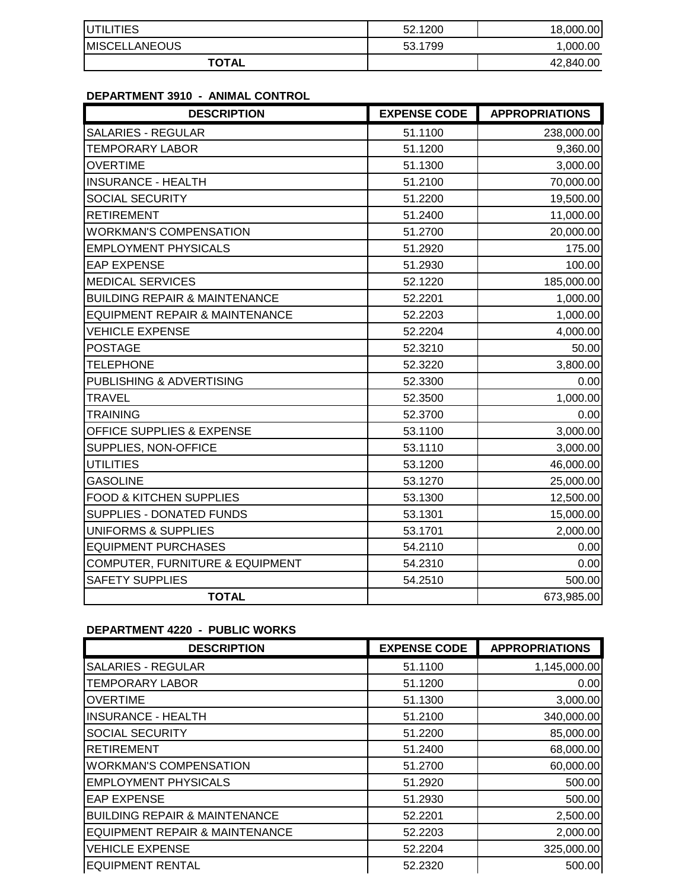| <b>IUTILITIES</b>     | 52.1200 | 18,000,00 |
|-----------------------|---------|-----------|
| <b>IMISCELLANEOUS</b> | 53.1799 | 1.000.00  |
| <b>TOTAL</b>          |         | 42,840.00 |

## **DEPARTMENT 3910 - ANIMAL CONTROL**

| <b>DESCRIPTION</b>                         | <b>EXPENSE CODE</b> | <b>APPROPRIATIONS</b> |
|--------------------------------------------|---------------------|-----------------------|
| <b>SALARIES - REGULAR</b>                  | 51.1100             | 238,000.00            |
| <b>TEMPORARY LABOR</b>                     | 51.1200             | 9,360.00              |
| <b>OVERTIME</b>                            | 51.1300             | 3,000.00              |
| <b>INSURANCE - HEALTH</b>                  | 51.2100             | 70,000.00             |
| SOCIAL SECURITY                            | 51.2200             | 19,500.00             |
| <b>RETIREMENT</b>                          | 51.2400             | 11,000.00             |
| <b>WORKMAN'S COMPENSATION</b>              | 51.2700             | 20,000.00             |
| <b>EMPLOYMENT PHYSICALS</b>                | 51.2920             | 175.00                |
| <b>EAP EXPENSE</b>                         | 51.2930             | 100.00                |
| <b>MEDICAL SERVICES</b>                    | 52.1220             | 185,000.00            |
| <b>BUILDING REPAIR &amp; MAINTENANCE</b>   | 52.2201             | 1,000.00              |
| <b>EQUIPMENT REPAIR &amp; MAINTENANCE</b>  | 52.2203             | 1,000.00              |
| <b>VEHICLE EXPENSE</b>                     | 52.2204             | 4,000.00              |
| <b>POSTAGE</b>                             | 52.3210             | 50.00                 |
| <b>TELEPHONE</b>                           | 52.3220             | 3,800.00              |
| PUBLISHING & ADVERTISING                   | 52.3300             | 0.00                  |
| <b>TRAVEL</b>                              | 52.3500             | 1,000.00              |
| <b>TRAINING</b>                            | 52.3700             | 0.00                  |
| <b>OFFICE SUPPLIES &amp; EXPENSE</b>       | 53.1100             | 3,000.00              |
| SUPPLIES, NON-OFFICE                       | 53.1110             | 3,000.00              |
| <b>UTILITIES</b>                           | 53.1200             | 46,000.00             |
| <b>GASOLINE</b>                            | 53.1270             | 25,000.00             |
| <b>FOOD &amp; KITCHEN SUPPLIES</b>         | 53.1300             | 12,500.00             |
| <b>SUPPLIES - DONATED FUNDS</b>            | 53.1301             | 15,000.00             |
| <b>UNIFORMS &amp; SUPPLIES</b>             | 53.1701             | 2,000.00              |
| <b>EQUIPMENT PURCHASES</b>                 | 54.2110             | 0.00                  |
| <b>COMPUTER, FURNITURE &amp; EQUIPMENT</b> | 54.2310             | 0.00                  |
| <b>SAFETY SUPPLIES</b>                     | 54.2510             | 500.00                |
| <b>TOTAL</b>                               |                     | 673,985.00            |

## **DEPARTMENT 4220 - PUBLIC WORKS**

| <b>DESCRIPTION</b>                        | <b>EXPENSE CODE</b> | <b>APPROPRIATIONS</b> |
|-------------------------------------------|---------------------|-----------------------|
| <b>SALARIES - REGULAR</b>                 | 51.1100             | 1,145,000.00          |
| <b>TEMPORARY LABOR</b>                    | 51.1200             | 0.00                  |
| <b>OVERTIME</b>                           | 51.1300             | 3,000.00              |
| <b>INSURANCE - HEALTH</b>                 | 51.2100             | 340,000.00            |
| <b>SOCIAL SECURITY</b>                    | 51.2200             | 85,000.00             |
| <b>RETIREMENT</b>                         | 51.2400             | 68,000.00             |
| <b>WORKMAN'S COMPENSATION</b>             | 51.2700             | 60,000.00             |
| <b>EMPLOYMENT PHYSICALS</b>               | 51.2920             | 500.00                |
| <b>EAP EXPENSE</b>                        | 51.2930             | 500.00                |
| <b>BUILDING REPAIR &amp; MAINTENANCE</b>  | 52.2201             | 2,500.00              |
| <b>EQUIPMENT REPAIR &amp; MAINTENANCE</b> | 52.2203             | 2,000.00              |
| <b>VEHICLE EXPENSE</b>                    | 52.2204             | 325,000.00            |
| <b>EQUIPMENT RENTAL</b>                   | 52.2320             | 500.00                |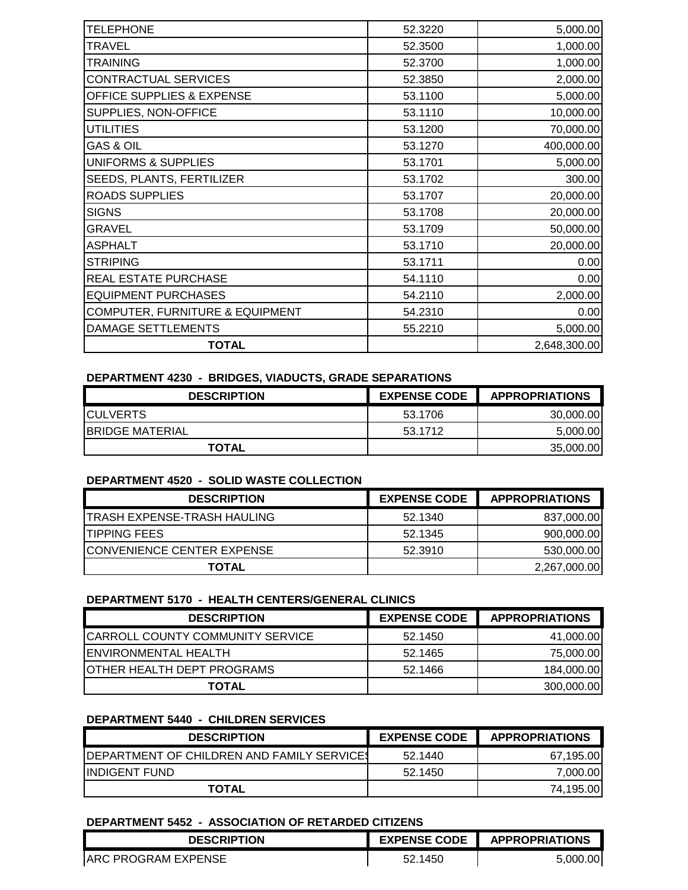| <b>TELEPHONE</b>                | 52.3220 | 5,000.00     |
|---------------------------------|---------|--------------|
| <b>TRAVEL</b>                   | 52.3500 | 1,000.00     |
| <b>TRAINING</b>                 | 52.3700 | 1,000.00     |
| CONTRACTUAL SERVICES            | 52.3850 | 2,000.00     |
| OFFICE SUPPLIES & EXPENSE       | 53.1100 | 5,000.00     |
| SUPPLIES, NON-OFFICE            | 53.1110 | 10,000.00    |
| <b>UTILITIES</b>                | 53.1200 | 70,000.00    |
| <b>GAS &amp; OIL</b>            | 53.1270 | 400,000.00   |
| <b>UNIFORMS &amp; SUPPLIES</b>  | 53.1701 | 5,000.00     |
| SEEDS, PLANTS, FERTILIZER       | 53.1702 | 300.00       |
| <b>ROADS SUPPLIES</b>           | 53.1707 | 20,000.00    |
| <b>SIGNS</b>                    | 53.1708 | 20,000.00    |
| <b>GRAVEL</b>                   | 53.1709 | 50,000.00    |
| <b>ASPHALT</b>                  | 53.1710 | 20,000.00    |
| <b>STRIPING</b>                 | 53.1711 | 0.00         |
| REAL ESTATE PURCHASE            | 54.1110 | 0.00         |
| <b>EQUIPMENT PURCHASES</b>      | 54.2110 | 2,000.00     |
| COMPUTER, FURNITURE & EQUIPMENT | 54.2310 | 0.00         |
| <b>DAMAGE SETTLEMENTS</b>       | 55.2210 | 5,000.00     |
| <b>TOTAL</b>                    |         | 2,648,300.00 |

### **DEPARTMENT 4230 - BRIDGES, VIADUCTS, GRADE SEPARATIONS**

| <b>DESCRIPTION</b>      | <b>EXPENSE CODE</b> | <b>APPROPRIATIONS</b> |
|-------------------------|---------------------|-----------------------|
| <b>ICULVERTS</b>        | 53.1706             | 30,000.00             |
| <b>IBRIDGE MATERIAL</b> | 53.1712             | 5,000.00              |
| <b>TOTAL</b>            |                     | 35,000.00             |

#### **DEPARTMENT 4520 - SOLID WASTE COLLECTION**

| <b>DESCRIPTION</b>                  | <b>EXPENSE CODE</b> | <b>APPROPRIATIONS</b> |
|-------------------------------------|---------------------|-----------------------|
| <b>ITRASH EXPENSE-TRASH HAULING</b> | 52.1340             | 837,000.00            |
| <b>ITIPPING FEES</b>                | 52.1345             | 900,000.00            |
| ICONVENIENCE CENTER EXPENSE         | 52.3910             | 530,000.00            |
| TOTAL                               |                     | 2,267,000.00          |

### **DEPARTMENT 5170 - HEALTH CENTERS/GENERAL CLINICS**

| <b>DESCRIPTION</b>                 | <b>EXPENSE CODE</b> | <b>APPROPRIATIONS</b> |
|------------------------------------|---------------------|-----------------------|
| CARROLL COUNTY COMMUNITY SERVICE   | 52.1450             | 41,000.00             |
| <b>ENVIRONMENTAL HEALTH</b>        | 52.1465             | 75,000.00             |
| <b>JOTHER HEALTH DEPT PROGRAMS</b> | 52.1466             | 184,000.00            |
| <b>TOTAL</b>                       |                     | 300,000.00            |

#### **DEPARTMENT 5440 - CHILDREN SERVICES**

| <b>DESCRIPTION</b>                                 | <b>EXPENSE CODE</b> | <b>APPROPRIATIONS</b> |
|----------------------------------------------------|---------------------|-----------------------|
| <b>IDEPARTMENT OF CHILDREN AND FAMILY SERVICES</b> | 52.1440             | 67.195.00             |
| <b>IINDIGENT FUND</b>                              | 52.1450             | 7.000.00              |
| <b>TOTAL</b>                                       |                     | 74.195.00             |

#### **DEPARTMENT 5452 - ASSOCIATION OF RETARDED CITIZENS**

| <b>DESCRIPTION</b>          | <b>EXPENSE CODE</b> | <b>APPROPRIATIONS</b> |
|-----------------------------|---------------------|-----------------------|
| <b>JARC PROGRAM EXPENSE</b> | 52.1450             | 5.000.00              |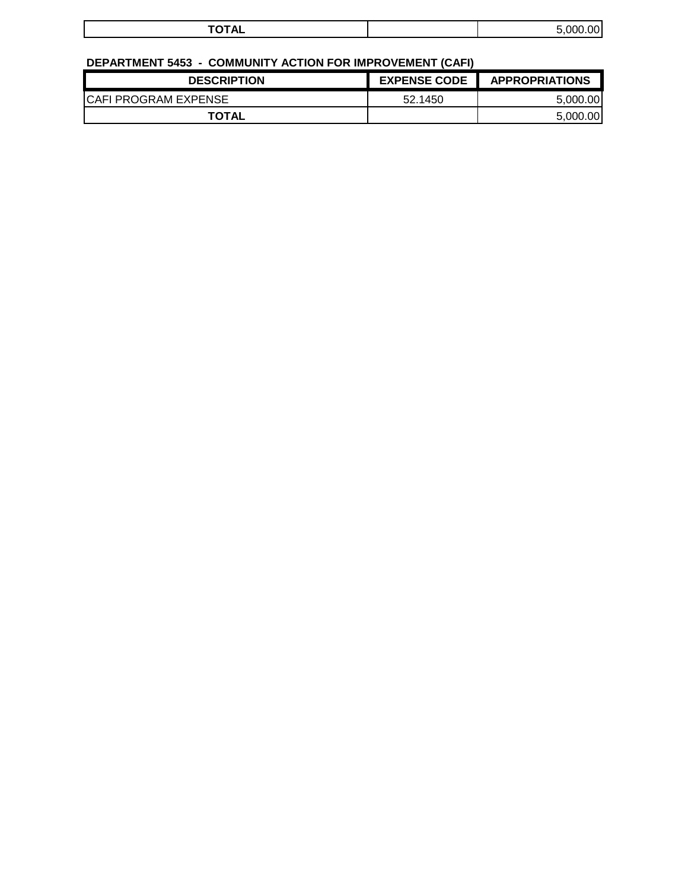| $- - - - -$<br>10172 | റവ<br>n۵<br>-<br>∽ |
|----------------------|--------------------|
|                      |                    |

# **DEPARTMENT 5453 - COMMUNITY ACTION FOR IMPROVEMENT (CAFI)**

| <b>DESCRIPTION</b>    | <b>EXPENSE CODE</b> | <b>APPROPRIATIONS</b> |
|-----------------------|---------------------|-----------------------|
| ICAFI PROGRAM EXPENSE | 52.1450             | 5.000.00              |
| TOTAL                 |                     | 5.000.00              |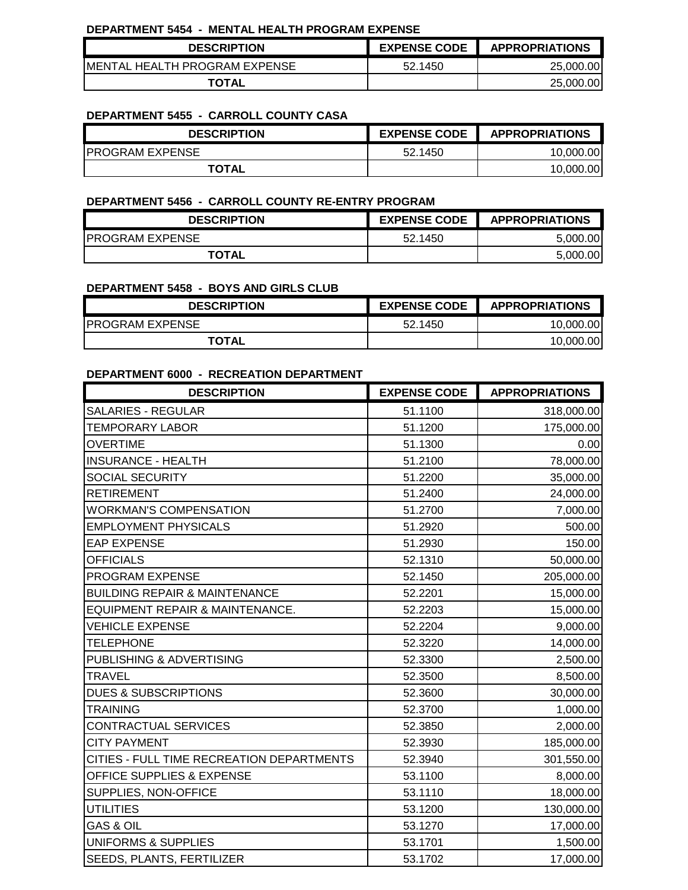#### **DEPARTMENT 5454 - MENTAL HEALTH PROGRAM EXPENSE**

| <b>DESCRIPTION</b>             | <b>EXPENSE CODE</b> | <b>APPROPRIATIONS</b> |
|--------------------------------|---------------------|-----------------------|
| IMENTAL HEALTH PROGRAM EXPENSE | 52.1450             | 25.000.00             |
| <b>TOTAL</b>                   |                     | 25,000.00             |

#### **DEPARTMENT 5455 - CARROLL COUNTY CASA**

| <b>DESCRIPTION</b>      | <b>EXPENSE CODE</b> | <b>APPROPRIATIONS</b> |
|-------------------------|---------------------|-----------------------|
| <b>IPROGRAM EXPENSE</b> | 52.1450             | 10.000.00             |
| <b>TOTAL</b>            |                     | 10,000.00             |

#### **DEPARTMENT 5456 - CARROLL COUNTY RE-ENTRY PROGRAM**

| <b>DESCRIPTION</b>      | <b>EXPENSE CODE</b> | <b>APPROPRIATIONS</b> |
|-------------------------|---------------------|-----------------------|
| <b>IPROGRAM EXPENSE</b> | 52.1450             | 5.000.00              |
| <b>TOTAL</b>            |                     | 5.000.00              |

#### **DEPARTMENT 5458 - BOYS AND GIRLS CLUB**

| <b>DESCRIPTION</b>      | <b>EXPENSE CODE</b> | <b>APPROPRIATIONS</b> |
|-------------------------|---------------------|-----------------------|
| <b>IPROGRAM EXPENSE</b> | 52.1450             | 10.000.00             |
| <b>TOTAL</b>            |                     | 10.000.00             |

#### **DEPARTMENT 6000 - RECREATION DEPARTMENT**

| <b>DESCRIPTION</b>                        | <b>EXPENSE CODE</b> | <b>APPROPRIATIONS</b> |
|-------------------------------------------|---------------------|-----------------------|
| <b>SALARIES - REGULAR</b>                 | 51.1100             | 318,000.00            |
| <b>TEMPORARY LABOR</b>                    | 51.1200             | 175,000.00            |
| <b>OVERTIME</b>                           | 51.1300             | 0.00                  |
| <b>INSURANCE - HEALTH</b>                 | 51.2100             | 78,000.00             |
| SOCIAL SECURITY                           | 51.2200             | 35,000.00             |
| <b>RETIREMENT</b>                         | 51.2400             | 24,000.00             |
| <b>WORKMAN'S COMPENSATION</b>             | 51.2700             | 7,000.00              |
| <b>EMPLOYMENT PHYSICALS</b>               | 51.2920             | 500.00                |
| <b>EAP EXPENSE</b>                        | 51.2930             | 150.00                |
| <b>OFFICIALS</b>                          | 52.1310             | 50,000.00             |
| PROGRAM EXPENSE                           | 52.1450             | 205,000.00            |
| <b>BUILDING REPAIR &amp; MAINTENANCE</b>  | 52.2201             | 15,000.00             |
| EQUIPMENT REPAIR & MAINTENANCE.           | 52.2203             | 15,000.00             |
| <b>VEHICLE EXPENSE</b>                    | 52.2204             | 9,000.00              |
| <b>TELEPHONE</b>                          | 52.3220             | 14,000.00             |
| PUBLISHING & ADVERTISING                  | 52.3300             | 2,500.00              |
| <b>TRAVEL</b>                             | 52.3500             | 8,500.00              |
| <b>DUES &amp; SUBSCRIPTIONS</b>           | 52.3600             | 30,000.00             |
| <b>TRAINING</b>                           | 52.3700             | 1,000.00              |
| CONTRACTUAL SERVICES                      | 52.3850             | 2,000.00              |
| <b>CITY PAYMENT</b>                       | 52.3930             | 185,000.00            |
| CITIES - FULL TIME RECREATION DEPARTMENTS | 52.3940             | 301,550.00            |
| OFFICE SUPPLIES & EXPENSE                 | 53.1100             | 8,000.00              |
| SUPPLIES, NON-OFFICE                      | 53.1110             | 18,000.00             |
| <b>UTILITIES</b>                          | 53.1200             | 130,000.00            |
| <b>GAS &amp; OIL</b>                      | 53.1270             | 17,000.00             |
| <b>UNIFORMS &amp; SUPPLIES</b>            | 53.1701             | 1,500.00              |
| SEEDS, PLANTS, FERTILIZER                 | 53.1702             | 17,000.00             |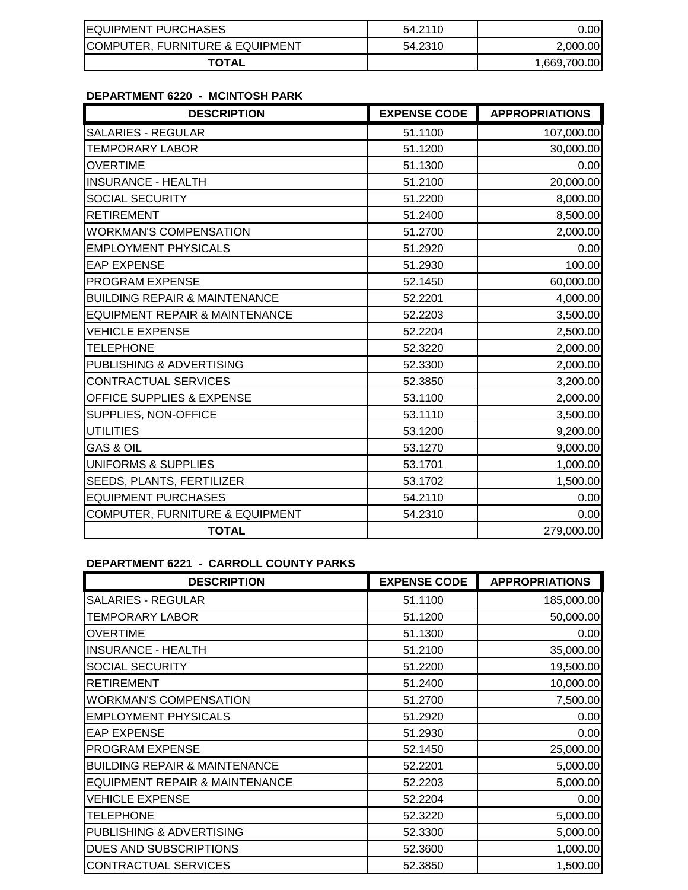| <b>EQUIPMENT PURCHASES</b>      | 54.2110 | .001         |
|---------------------------------|---------|--------------|
| COMPUTER, FURNITURE & EQUIPMENT | 54.2310 | 2,000.00     |
| <b>TOTAL</b>                    |         | 1,669,700.00 |

## **DEPARTMENT 6220 - MCINTOSH PARK**

| <b>DESCRIPTION</b>                        | <b>EXPENSE CODE</b> | <b>APPROPRIATIONS</b> |
|-------------------------------------------|---------------------|-----------------------|
| <b>SALARIES - REGULAR</b>                 | 51.1100             | 107,000.00            |
| <b>TEMPORARY LABOR</b>                    | 51.1200             | 30,000.00             |
| <b>OVERTIME</b>                           | 51.1300             | 0.00                  |
| <b>INSURANCE - HEALTH</b>                 | 51.2100             | 20,000.00             |
| <b>SOCIAL SECURITY</b>                    | 51.2200             | 8,000.00              |
| <b>RETIREMENT</b>                         | 51.2400             | 8,500.00              |
| <b>WORKMAN'S COMPENSATION</b>             | 51.2700             | 2,000.00              |
| <b>EMPLOYMENT PHYSICALS</b>               | 51.2920             | 0.00                  |
| <b>EAP EXPENSE</b>                        | 51.2930             | 100.00                |
| PROGRAM EXPENSE                           | 52.1450             | 60,000.00             |
| <b>BUILDING REPAIR &amp; MAINTENANCE</b>  | 52.2201             | 4,000.00              |
| <b>EQUIPMENT REPAIR &amp; MAINTENANCE</b> | 52.2203             | 3,500.00              |
| <b>VEHICLE EXPENSE</b>                    | 52.2204             | 2,500.00              |
| <b>TELEPHONE</b>                          | 52.3220             | 2,000.00              |
| PUBLISHING & ADVERTISING                  | 52.3300             | 2,000.00              |
| CONTRACTUAL SERVICES                      | 52.3850             | 3,200.00              |
| OFFICE SUPPLIES & EXPENSE                 | 53.1100             | 2,000.00              |
| SUPPLIES, NON-OFFICE                      | 53.1110             | 3,500.00              |
| <b>UTILITIES</b>                          | 53.1200             | 9,200.00              |
| <b>GAS &amp; OIL</b>                      | 53.1270             | 9,000.00              |
| <b>UNIFORMS &amp; SUPPLIES</b>            | 53.1701             | 1,000.00              |
| SEEDS, PLANTS, FERTILIZER                 | 53.1702             | 1,500.00              |
| <b>EQUIPMENT PURCHASES</b>                | 54.2110             | 0.00                  |
| COMPUTER, FURNITURE & EQUIPMENT           | 54.2310             | 0.00                  |
| <b>TOTAL</b>                              |                     | 279,000.00            |

## **DEPARTMENT 6221 - CARROLL COUNTY PARKS**

| <b>DESCRIPTION</b>                       | <b>EXPENSE CODE</b> | <b>APPROPRIATIONS</b> |
|------------------------------------------|---------------------|-----------------------|
| <b>SALARIES - REGULAR</b>                | 51.1100             | 185,000.00            |
| TEMPORARY LABOR                          | 51.1200             | 50,000.00             |
| <b>OVERTIME</b>                          | 51.1300             | 0.00                  |
| <b>INSURANCE - HEALTH</b>                | 51.2100             | 35,000.00             |
| <b>SOCIAL SECURITY</b>                   | 51.2200             | 19,500.00             |
| <b>RETIREMENT</b>                        | 51.2400             | 10,000.00             |
| <b>WORKMAN'S COMPENSATION</b>            | 51.2700             | 7,500.00              |
| <b>EMPLOYMENT PHYSICALS</b>              | 51.2920             | 0.00                  |
| <b>EAP EXPENSE</b>                       | 51.2930             | 0.00                  |
| PROGRAM EXPENSE                          | 52.1450             | 25,000.00             |
| <b>BUILDING REPAIR &amp; MAINTENANCE</b> | 52.2201             | 5,000.00              |
| EQUIPMENT REPAIR & MAINTENANCE           | 52.2203             | 5,000.00              |
| <b>VEHICLE EXPENSE</b>                   | 52.2204             | 0.00                  |
| <b>TELEPHONE</b>                         | 52.3220             | 5,000.00              |
| PUBLISHING & ADVERTISING                 | 52.3300             | 5,000.00              |
| DUES AND SUBSCRIPTIONS                   | 52.3600             | 1,000.00              |
| CONTRACTUAL SERVICES                     | 52.3850             | 1,500.00              |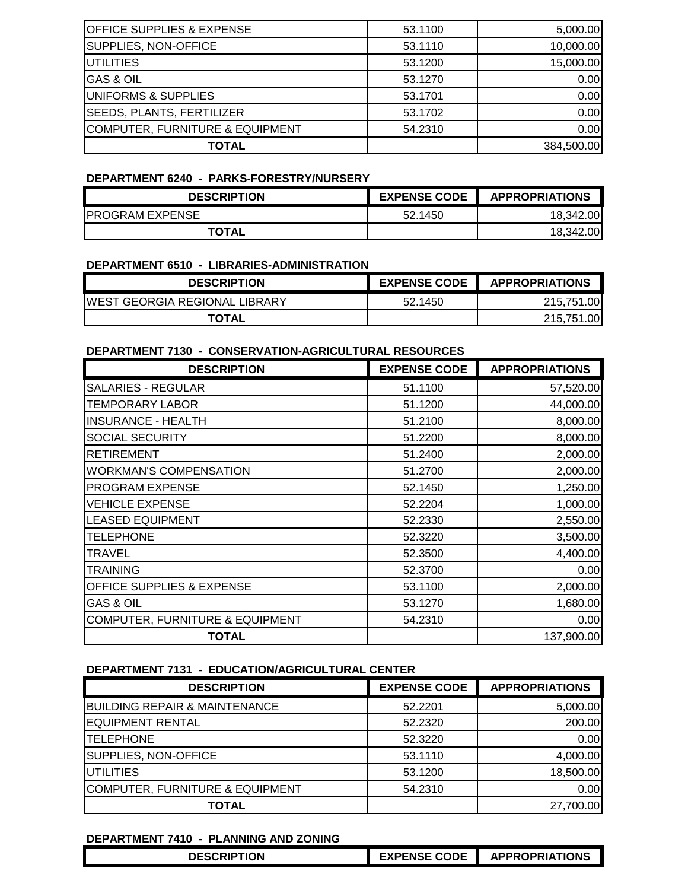| <b>OFFICE SUPPLIES &amp; EXPENSE</b> | 53.1100 | 5,000.00   |
|--------------------------------------|---------|------------|
| SUPPLIES, NON-OFFICE                 | 53.1110 | 10,000.00  |
| <b>UTILITIES</b>                     | 53.1200 | 15,000.00  |
| <b>GAS &amp; OIL</b>                 | 53.1270 | 0.00       |
| UNIFORMS & SUPPLIES                  | 53.1701 | 0.00       |
| <b>SEEDS, PLANTS, FERTILIZER</b>     | 53.1702 | 0.00       |
| COMPUTER, FURNITURE & EQUIPMENT      | 54.2310 | 0.00       |
| TOTAL                                |         | 384,500.00 |

#### **DEPARTMENT 6240 - PARKS-FORESTRY/NURSERY**

| <b>DESCRIPTION</b>     | <b>EXPENSE CODE</b> | <b>APPROPRIATIONS</b> |
|------------------------|---------------------|-----------------------|
| <b>PROGRAM EXPENSE</b> | 52.1450             | 18.342.00             |
| <b>TOTAL</b>           |                     | 18.342.00             |

#### **DEPARTMENT 6510 - LIBRARIES-ADMINISTRATION**

| <b>DESCRIPTION</b>                    | <b>EXPENSE CODE</b> | <b>APPROPRIATIONS</b> |
|---------------------------------------|---------------------|-----------------------|
| <b>IWEST GEORGIA REGIONAL LIBRARY</b> | 52.1450             | 215,751.00            |
| <b>TOTAL</b>                          |                     | 215,751.00            |

#### **DEPARTMENT 7130 - CONSERVATION-AGRICULTURAL RESOURCES**

| <b>DESCRIPTION</b>                         | <b>EXPENSE CODE</b> | <b>APPROPRIATIONS</b> |
|--------------------------------------------|---------------------|-----------------------|
| <b>SALARIES - REGULAR</b>                  | 51.1100             | 57,520.00             |
| <b>TEMPORARY LABOR</b>                     | 51.1200             | 44,000.00             |
| <b>INSURANCE - HEALTH</b>                  | 51.2100             | 8,000.00              |
| SOCIAL SECURITY                            | 51.2200             | 8,000.00              |
| <b>RETIREMENT</b>                          | 51.2400             | 2,000.00              |
| <b>WORKMAN'S COMPENSATION</b>              | 51.2700             | 2,000.00              |
| <b>PROGRAM EXPENSE</b>                     | 52.1450             | 1,250.00              |
| <b>VEHICLE EXPENSE</b>                     | 52.2204             | 1,000.00              |
| <b>LEASED EQUIPMENT</b>                    | 52.2330             | 2,550.00              |
| <b>TELEPHONE</b>                           | 52.3220             | 3,500.00              |
| TRAVEL                                     | 52.3500             | 4,400.00              |
| TRAINING                                   | 52,3700             | 0.00                  |
| <b>OFFICE SUPPLIES &amp; EXPENSE</b>       | 53.1100             | 2,000.00              |
| <b>GAS &amp; OIL</b>                       | 53.1270             | 1,680.00              |
| <b>COMPUTER, FURNITURE &amp; EQUIPMENT</b> | 54.2310             | 0.00                  |
| <b>TOTAL</b>                               |                     | 137,900.00            |

### **DEPARTMENT 7131 - EDUCATION/AGRICULTURAL CENTER**

| <b>DESCRIPTION</b>                       | <b>EXPENSE CODE</b> | <b>APPROPRIATIONS</b> |
|------------------------------------------|---------------------|-----------------------|
| <b>BUILDING REPAIR &amp; MAINTENANCE</b> | 52.2201             | 5,000.00              |
| <b>EQUIPMENT RENTAL</b>                  | 52.2320             | 200.00                |
| <b>TELEPHONE</b>                         | 52.3220             | 0.00                  |
| SUPPLIES, NON-OFFICE                     | 53.1110             | 4,000.00              |
| <b>UTILITIES</b>                         | 53.1200             | 18,500.00             |
| COMPUTER, FURNITURE & EQUIPMENT          | 54.2310             | 0.00                  |
| TOTAL                                    |                     | 27,700.00             |

#### **DEPARTMENT 7410 - PLANNING AND ZONING**

| <b>DESCRIPTION</b><br>_______ | <b>EXPENSE CODE</b> | TIONS<br><b>OPRIAT</b><br><b>ADDR</b> |
|-------------------------------|---------------------|---------------------------------------|